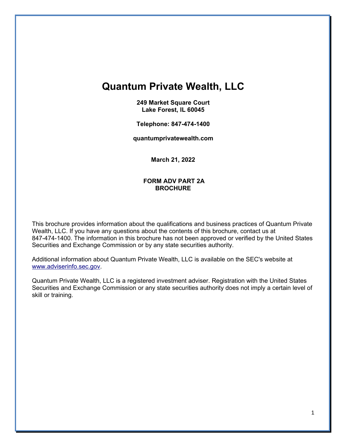# **Quantum Private Wealth, LLC**

**249 Market Square Court Lake Forest, IL 60045**

**Telephone: 847-474-1400**

**quantumprivatewealth.com**

**March 21, 2022**

### **FORM ADV PART 2A BROCHURE**

This brochure provides information about the qualifications and business practices of Quantum Private Wealth, LLC. If you have any questions about the contents of this brochure, contact us at 847-474-1400. The information in this brochure has not been approved or verified by the United States Securities and Exchange Commission or by any state securities authority.

Additional information about Quantum Private Wealth, LLC is available on the SEC's website at [www.adviserinfo.sec.gov.](http://www.adviserinfo.sec.gov/)

Quantum Private Wealth, LLC is a registered investment adviser. Registration with the United States Securities and Exchange Commission or any state securities authority does not imply a certain level of skill or training.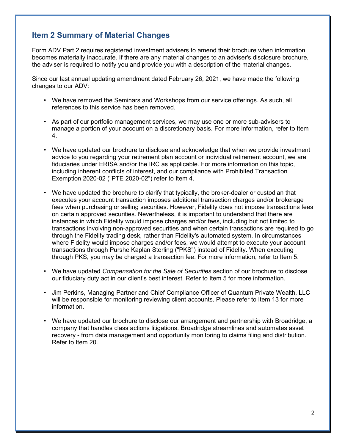# **Item 2 Summary of Material Changes**

Form ADV Part 2 requires registered investment advisers to amend their brochure when information becomes materially inaccurate. If there are any material changes to an adviser's disclosure brochure, the adviser is required to notify you and provide you with a description of the material changes.

Since our last annual updating amendment dated February 26, 2021, we have made the following changes to our ADV:

- We have removed the Seminars and Workshops from our service offerings. As such, all references to this service has been removed.
- As part of our portfolio management services, we may use one or more sub-advisers to manage a portion of your account on a discretionary basis. For more information, refer to Item 4.
- We have updated our brochure to disclose and acknowledge that when we provide investment advice to you regarding your retirement plan account or individual retirement account, we are fiduciaries under ERISA and/or the IRC as applicable. For more information on this topic, including inherent conflicts of interest, and our compliance with Prohibited Transaction Exemption 2020-02 ("PTE 2020-02") refer to Item 4.
- We have updated the brochure to clarify that typically, the broker-dealer or custodian that executes your account transaction imposes additional transaction charges and/or brokerage fees when purchasing or selling securities. However, Fidelity does not impose transactions fees on certain approved securities. Nevertheless, it is important to understand that there are instances in which Fidelity would impose charges and/or fees, including but not limited to transactions involving non-approved securities and when certain transactions are required to go through the Fidelity trading desk, rather than Fidelity's automated system. In circumstances where Fidelity would impose charges and/or fees, we would attempt to execute your account transactions through Purshe Kaplan Sterling ("PKS") instead of Fidelity. When executing through PKS, you may be charged a transaction fee. For more information, refer to Item 5.
- We have updated *Compensation for the Sale of Securities* section of our brochure to disclose our fiduciary duty act in our client's best interest. Refer to Item 5 for more information.
- Jim Perkins, Managing Partner and Chief Compliance Officer of Quantum Private Wealth, LLC will be responsible for monitoring reviewing client accounts. Please refer to Item 13 for more information.
- We have updated our brochure to disclose our arrangement and partnership with Broadridge, a company that handles class actions litigations. Broadridge streamlines and automates asset recovery - from data management and opportunity monitoring to claims filing and distribution. Refer to Item 20.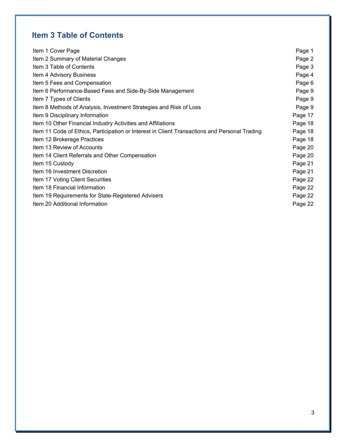# **Item 3 Table of Contents**

| Item 1 Cover Page                                                                             | Page 1  |
|-----------------------------------------------------------------------------------------------|---------|
| Item 2 Summary of Material Changes                                                            | Page 2  |
| Item 3 Table of Contents                                                                      | Page 3  |
| Item 4 Advisory Business                                                                      | Page 4  |
| Item 5 Fees and Compensation                                                                  | Page 6  |
| Item 6 Performance-Based Fees and Side-By-Side Management                                     | Page 9  |
| Item 7 Types of Clients                                                                       | Page 9  |
| Item 8 Methods of Analysis, Investment Strategies and Risk of Loss                            | Page 9  |
| Item 9 Disciplinary Information                                                               | Page 17 |
| Item 10 Other Financial Industry Activities and Affiliations                                  | Page 18 |
| Item 11 Code of Ethics, Participation or Interest in Client Transactions and Personal Trading | Page 18 |
| Item 12 Brokerage Practices                                                                   | Page 18 |
| Item 13 Review of Accounts                                                                    | Page 20 |
| Item 14 Client Referrals and Other Compensation                                               | Page 20 |
| Item 15 Custody                                                                               | Page 21 |
| Item 16 Investment Discretion                                                                 | Page 21 |
| Item 17 Voting Client Securities                                                              | Page 22 |
| Item 18 Financial Information                                                                 | Page 22 |
| Item 19 Requirements for State-Registered Advisers                                            | Page 22 |
| Item 20 Additional Information                                                                | Page 22 |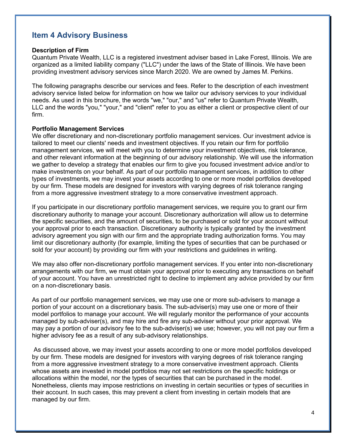# **Item 4 Advisory Business**

#### **Description of Firm**

Quantum Private Wealth, LLC is a registered investment adviser based in Lake Forest, Illinois. We are organized as a limited liability company ("LLC") under the laws of the State of Illinois. We have been providing investment advisory services since March 2020. We are owned by James M. Perkins.

The following paragraphs describe our services and fees. Refer to the description of each investment advisory service listed below for information on how we tailor our advisory services to your individual needs. As used in this brochure, the words "we," "our," and "us" refer to Quantum Private Wealth, LLC and the words "you," "your," and "client" refer to you as either a client or prospective client of our firm.

#### **Portfolio Management Services**

We offer discretionary and non-discretionary portfolio management services. Our investment advice is tailored to meet our clients' needs and investment objectives. If you retain our firm for portfolio management services, we will meet with you to determine your investment objectives, risk tolerance, and other relevant information at the beginning of our advisory relationship. We will use the information we gather to develop a strategy that enables our firm to give you focused investment advice and/or to make investments on your behalf. As part of our portfolio management services, in addition to other types of investments, we may invest your assets according to one or more model portfolios developed by our firm. These models are designed for investors with varying degrees of risk tolerance ranging from a more aggressive investment strategy to a more conservative investment approach.

If you participate in our discretionary portfolio management services, we require you to grant our firm discretionary authority to manage your account. Discretionary authorization will allow us to determine the specific securities, and the amount of securities, to be purchased or sold for your account without your approval prior to each transaction. Discretionary authority is typically granted by the investment advisory agreement you sign with our firm and the appropriate trading authorization forms. You may limit our discretionary authority (for example, limiting the types of securities that can be purchased or sold for your account) by providing our firm with your restrictions and guidelines in writing.

We may also offer non-discretionary portfolio management services. If you enter into non-discretionary arrangements with our firm, we must obtain your approval prior to executing any transactions on behalf of your account. You have an unrestricted right to decline to implement any advice provided by our firm on a non-discretionary basis.

As part of our portfolio management services, we may use one or more sub-advisers to manage a portion of your account on a discretionary basis. The sub-adviser(s) may use one or more of their model portfolios to manage your account. We will regularly monitor the performance of your accounts managed by sub-adviser(s), and may hire and fire any sub-adviser without your prior approval. We may pay a portion of our advisory fee to the sub-adviser(s) we use; however, you will not pay our firm a higher advisory fee as a result of any sub-advisory relationships.

As discussed above, we may invest your assets according to one or more model portfolios developed by our firm. These models are designed for investors with varying degrees of risk tolerance ranging from a more aggressive investment strategy to a more conservative investment approach. Clients whose assets are invested in model portfolios may not set restrictions on the specific holdings or allocations within the model, nor the types of securities that can be purchased in the model. Nonetheless, clients may impose restrictions on investing in certain securities or types of securities in their account. In such cases, this may prevent a client from investing in certain models that are managed by our firm.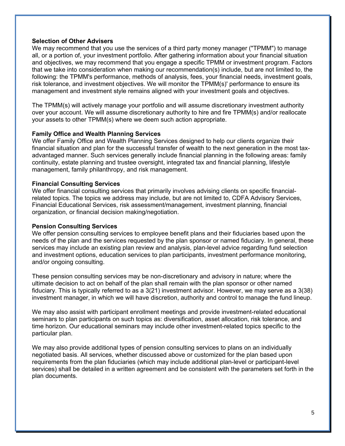### **Selection of Other Advisers**

We may recommend that you use the services of a third party money manager ("TPMM") to manage all, or a portion of, your investment portfolio. After gathering information about your financial situation and objectives, we may recommend that you engage a specific TPMM or investment program. Factors that we take into consideration when making our recommendation(s) include, but are not limited to, the following: the TPMM's performance, methods of analysis, fees, your financial needs, investment goals, risk tolerance, and investment objectives. We will monitor the TPMM(s)' performance to ensure its management and investment style remains aligned with your investment goals and objectives.

The TPMM(s) will actively manage your portfolio and will assume discretionary investment authority over your account. We will assume discretionary authority to hire and fire TPMM(s) and/or reallocate your assets to other TPMM(s) where we deem such action appropriate.

### **Family Office and Wealth Planning Services**

We offer Family Office and Wealth Planning Services designed to help our clients organize their financial situation and plan for the successful transfer of wealth to the next generation in the most taxadvantaged manner. Such services generally include financial planning in the following areas: family continuity, estate planning and trustee oversight, integrated tax and financial planning, lifestyle management, family philanthropy, and risk management.

### **Financial Consulting Services**

We offer financial consulting services that primarily involves advising clients on specific financialrelated topics. The topics we address may include, but are not limited to, CDFA Advisory Services, Financial Educational Services, risk assessment/management, investment planning, financial organization, or financial decision making/negotiation.

### **Pension Consulting Services**

We offer pension consulting services to employee benefit plans and their fiduciaries based upon the needs of the plan and the services requested by the plan sponsor or named fiduciary. In general, these services may include an existing plan review and analysis, plan-level advice regarding fund selection and investment options, education services to plan participants, investment performance monitoring, and/or ongoing consulting.

These pension consulting services may be non-discretionary and advisory in nature; where the ultimate decision to act on behalf of the plan shall remain with the plan sponsor or other named fiduciary. This is typically referred to as a 3(21) investment advisor. However, we may serve as a 3(38) investment manager, in which we will have discretion, authority and control to manage the fund lineup.

We may also assist with participant enrollment meetings and provide investment-related educational seminars to plan participants on such topics as: diversification, asset allocation, risk tolerance, and time horizon. Our educational seminars may include other investment-related topics specific to the particular plan.

We may also provide additional types of pension consulting services to plans on an individually negotiated basis. All services, whether discussed above or customized for the plan based upon requirements from the plan fiduciaries (which may include additional plan-level or participant-level services) shall be detailed in a written agreement and be consistent with the parameters set forth in the plan documents.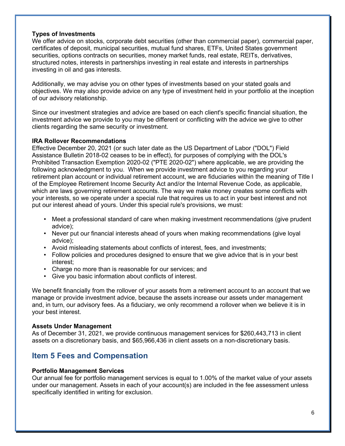### **Types of Investments**

We offer advice on stocks, corporate debt securities (other than commercial paper), commercial paper, certificates of deposit, municipal securities, mutual fund shares, ETFs, United States government securities, options contracts on securities, money market funds, real estate, REITs, derivatives, structured notes, interests in partnerships investing in real estate and interests in partnerships investing in oil and gas interests.

Additionally, we may advise you on other types of investments based on your stated goals and objectives. We may also provide advice on any type of investment held in your portfolio at the inception of our advisory relationship.

Since our investment strategies and advice are based on each client's specific financial situation, the investment advice we provide to you may be different or conflicting with the advice we give to other clients regarding the same security or investment.

### **IRA Rollover Recommendations**

Effective December 20, 2021 (or such later date as the US Department of Labor ("DOL") Field Assistance Bulletin 2018-02 ceases to be in effect), for purposes of complying with the DOL's Prohibited Transaction Exemption 2020-02 ("PTE 2020-02") where applicable, we are providing the following acknowledgment to you. When we provide investment advice to you regarding your retirement plan account or individual retirement account, we are fiduciaries within the meaning of Title I of the Employee Retirement Income Security Act and/or the Internal Revenue Code, as applicable, which are laws governing retirement accounts. The way we make money creates some conflicts with your interests, so we operate under a special rule that requires us to act in your best interest and not put our interest ahead of yours. Under this special rule's provisions, we must:

- Meet a professional standard of care when making investment recommendations (give prudent advice);
- Never put our financial interests ahead of yours when making recommendations (give loyal advice);
- Avoid misleading statements about conflicts of interest, fees, and investments;
- Follow policies and procedures designed to ensure that we give advice that is in your best interest;
- Charge no more than is reasonable for our services; and
- Give you basic information about conflicts of interest.

We benefit financially from the rollover of your assets from a retirement account to an account that we manage or provide investment advice, because the assets increase our assets under management and, in turn, our advisory fees. As a fiduciary, we only recommend a rollover when we believe it is in your best interest.

#### **Assets Under Management**

As of December 31, 2021, we provide continuous management services for \$260,443,713 in client assets on a discretionary basis, and \$65,966,436 in client assets on a non-discretionary basis.

# **Item 5 Fees and Compensation**

# **Portfolio Management Services**

Our annual fee for portfolio management services is equal to 1.00% of the market value of your assets under our management. Assets in each of your account(s) are included in the fee assessment unless specifically identified in writing for exclusion.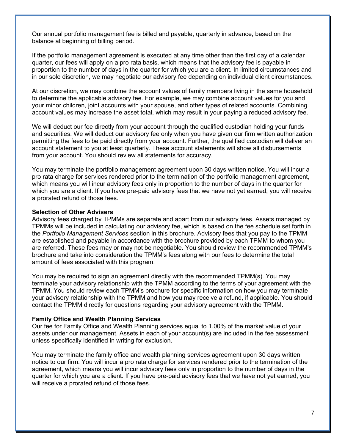Our annual portfolio management fee is billed and payable, quarterly in advance, based on the balance at beginning of billing period.

If the portfolio management agreement is executed at any time other than the first day of a calendar quarter, our fees will apply on a pro rata basis, which means that the advisory fee is payable in proportion to the number of days in the quarter for which you are a client. In limited circumstances and in our sole discretion, we may negotiate our advisory fee depending on individual client circumstances.

At our discretion, we may combine the account values of family members living in the same household to determine the applicable advisory fee. For example, we may combine account values for you and your minor children, joint accounts with your spouse, and other types of related accounts. Combining account values may increase the asset total, which may result in your paying a reduced advisory fee.

We will deduct our fee directly from your account through the qualified custodian holding your funds and securities. We will deduct our advisory fee only when you have given our firm written authorization permitting the fees to be paid directly from your account. Further, the qualified custodian will deliver an account statement to you at least quarterly. These account statements will show all disbursements from your account. You should review all statements for accuracy.

You may terminate the portfolio management agreement upon 30 days written notice. You will incur a pro rata charge for services rendered prior to the termination of the portfolio management agreement, which means you will incur advisory fees only in proportion to the number of days in the quarter for which you are a client. If you have pre-paid advisory fees that we have not yet earned, you will receive a prorated refund of those fees.

#### **Selection of Other Advisers**

Advisory fees charged by TPMMs are separate and apart from our advisory fees. Assets managed by TPMMs will be included in calculating our advisory fee, which is based on the fee schedule set forth in the *Portfolio Management Services* section in this brochure. Advisory fees that you pay to the TPMM are established and payable in accordance with the brochure provided by each TPMM to whom you are referred. These fees may or may not be negotiable. You should review the recommended TPMM's brochure and take into consideration the TPMM's fees along with our fees to determine the total amount of fees associated with this program.

You may be required to sign an agreement directly with the recommended TPMM(s). You may terminate your advisory relationship with the TPMM according to the terms of your agreement with the TPMM. You should review each TPMM's brochure for specific information on how you may terminate your advisory relationship with the TPMM and how you may receive a refund, if applicable. You should contact the TPMM directly for questions regarding your advisory agreement with the TPMM.

#### **Family Office and Wealth Planning Services**

Our fee for Family Office and Wealth Planning services equal to 1.00% of the market value of your assets under our management. Assets in each of your account(s) are included in the fee assessment unless specifically identified in writing for exclusion.

You may terminate the family office and wealth planning services agreement upon 30 days written notice to our firm. You will incur a pro rata charge for services rendered prior to the termination of the agreement, which means you will incur advisory fees only in proportion to the number of days in the quarter for which you are a client. If you have pre-paid advisory fees that we have not yet earned, you will receive a prorated refund of those fees.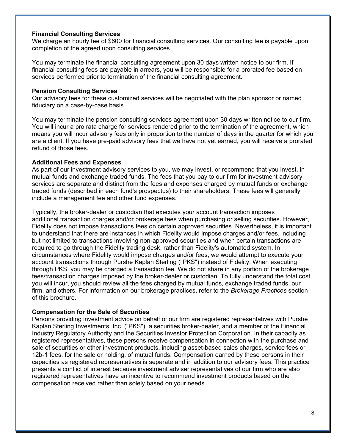### **Financial Consulting Services**

We charge an hourly fee of \$600 for financial consulting services. Our consulting fee is payable upon completion of the agreed upon consulting services.

You may terminate the financial consulting agreement upon 30 days written notice to our firm. If financial consulting fees are payable in arrears, you will be responsible for a prorated fee based on services performed prior to termination of the financial consulting agreement.

### **Pension Consulting Services**

Our advisory fees for these customized services will be negotiated with the plan sponsor or named fiduciary on a case-by-case basis.

You may terminate the pension consulting services agreement upon 30 days written notice to our firm. You will incur a pro rata charge for services rendered prior to the termination of the agreement, which means you will incur advisory fees only in proportion to the number of days in the quarter for which you are a client. If you have pre-paid advisory fees that we have not yet earned, you will receive a prorated refund of those fees.

### **Additional Fees and Expenses**

As part of our investment advisory services to you, we may invest, or recommend that you invest, in mutual funds and exchange traded funds. The fees that you pay to our firm for investment advisory services are separate and distinct from the fees and expenses charged by mutual funds or exchange traded funds (described in each fund's prospectus) to their shareholders. These fees will generally include a management fee and other fund expenses.

Typically, the broker-dealer or custodian that executes your account transaction imposes additional transaction charges and/or brokerage fees when purchasing or selling securities. However, Fidelity does not impose transactions fees on certain approved securities. Nevertheless, it is important to understand that there are instances in which Fidelity would impose charges and/or fees, including but not limited to transactions involving non-approved securities and when certain transactions are required to go through the Fidelity trading desk, rather than Fidelity's automated system. In circumstances where Fidelity would impose charges and/or fees, we would attempt to execute your account transactions through Purshe Kaplan Sterling ("PKS") instead of Fidelity. When executing through PKS, you may be charged a transaction fee. We do not share in any portion of the brokerage fees/transaction charges imposed by the broker-dealer or custodian. To fully understand the total cost you will incur, you should review all the fees charged by mutual funds, exchange traded funds, our firm, and others. For information on our brokerage practices, refer to the *Brokerage Practices* section of this brochure.

#### **Compensation for the Sale of Securities**

Persons providing investment advice on behalf of our firm are registered representatives with Purshe Kaplan Sterling Investments, Inc. ("PKS"), a securities broker-dealer, and a member of the Financial Industry Regulatory Authority and the Securities Investor Protection Corporation. In their capacity as registered representatives, these persons receive compensation in connection with the purchase and sale of securities or other investment products, including asset-based sales charges, service fees or 12b-1 fees, for the sale or holding, of mutual funds. Compensation earned by these persons in their capacities as registered representatives is separate and in addition to our advisory fees. This practice presents a conflict of interest because investment adviser representatives of our firm who are also registered representatives have an incentive to recommend investment products based on the compensation received rather than solely based on your needs.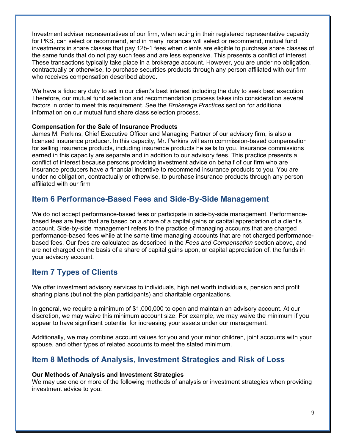Investment adviser representatives of our firm, when acting in their registered representative capacity for PKS, can select or recommend, and in many instances will select or recommend, mutual fund investments in share classes that pay 12b-1 fees when clients are eligible to purchase share classes of the same funds that do not pay such fees and are less expensive. This presents a conflict of interest. These transactions typically take place in a brokerage account. However, you are under no obligation, contractually or otherwise, to purchase securities products through any person affiliated with our firm who receives compensation described above.

We have a fiduciary duty to act in our client's best interest including the duty to seek best execution. Therefore, our mutual fund selection and recommendation process takes into consideration several factors in order to meet this requirement. See the *Brokerage Practices* section for additional information on our mutual fund share class selection process.

### **Compensation for the Sale of Insurance Products**

James M. Perkins, Chief Executive Officer and Managing Partner of our advisory firm, is also a licensed insurance producer. In this capacity, Mr. Perkins will earn commission-based compensation for selling insurance products, including insurance products he sells to you. Insurance commissions earned in this capacity are separate and in addition to our advisory fees. This practice presents a conflict of interest because persons providing investment advice on behalf of our firm who are insurance producers have a financial incentive to recommend insurance products to you. You are under no obligation, contractually or otherwise, to purchase insurance products through any person affiliated with our firm

# **Item 6 Performance-Based Fees and Side-By-Side Management**

We do not accept performance-based fees or participate in side-by-side management. Performancebased fees are fees that are based on a share of a capital gains or capital appreciation of a client's account. Side-by-side management refers to the practice of managing accounts that are charged performance-based fees while at the same time managing accounts that are not charged performancebased fees. Our fees are calculated as described in the *Fees and Compensation* section above, and are not charged on the basis of a share of capital gains upon, or capital appreciation of, the funds in your advisory account.

# **Item 7 Types of Clients**

We offer investment advisory services to individuals, high net worth individuals, pension and profit sharing plans (but not the plan participants) and charitable organizations.

In general, we require a minimum of \$1,000,000 to open and maintain an advisory account. At our discretion, we may waive this minimum account size. For example, we may waive the minimum if you appear to have significant potential for increasing your assets under our management.

Additionally, we may combine account values for you and your minor children, joint accounts with your spouse, and other types of related accounts to meet the stated minimum.

# **Item 8 Methods of Analysis, Investment Strategies and Risk of Loss**

# **Our Methods of Analysis and Investment Strategies**

We may use one or more of the following methods of analysis or investment strategies when providing investment advice to you: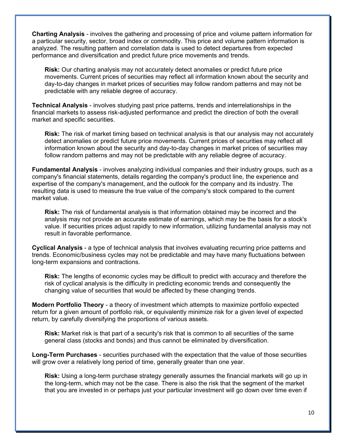**Charting Analysis** - involves the gathering and processing of price and volume pattern information for a particular security, sector, broad index or commodity. This price and volume pattern information is analyzed. The resulting pattern and correlation data is used to detect departures from expected performance and diversification and predict future price movements and trends.

**Risk:** Our charting analysis may not accurately detect anomalies or predict future price movements. Current prices of securities may reflect all information known about the security and day-to-day changes in market prices of securities may follow random patterns and may not be predictable with any reliable degree of accuracy.

**Technical Analysis** - involves studying past price patterns, trends and interrelationships in the financial markets to assess risk-adjusted performance and predict the direction of both the overall market and specific securities.

**Risk:** The risk of market timing based on technical analysis is that our analysis may not accurately detect anomalies or predict future price movements. Current prices of securities may reflect all information known about the security and day-to-day changes in market prices of securities may follow random patterns and may not be predictable with any reliable degree of accuracy.

**Fundamental Analysis** - involves analyzing individual companies and their industry groups, such as a company's financial statements, details regarding the company's product line, the experience and expertise of the company's management, and the outlook for the company and its industry. The resulting data is used to measure the true value of the company's stock compared to the current market value.

**Risk:** The risk of fundamental analysis is that information obtained may be incorrect and the analysis may not provide an accurate estimate of earnings, which may be the basis for a stock's value. If securities prices adjust rapidly to new information, utilizing fundamental analysis may not result in favorable performance.

**Cyclical Analysis** - a type of technical analysis that involves evaluating recurring price patterns and trends. Economic/business cycles may not be predictable and may have many fluctuations between long-term expansions and contractions.

**Risk:** The lengths of economic cycles may be difficult to predict with accuracy and therefore the risk of cyclical analysis is the difficulty in predicting economic trends and consequently the changing value of securities that would be affected by these changing trends.

**Modern Portfolio Theory** - a theory of investment which attempts to maximize portfolio expected return for a given amount of portfolio risk, or equivalently minimize risk for a given level of expected return, by carefully diversifying the proportions of various assets.

**Risk:** Market risk is that part of a security's risk that is common to all securities of the same general class (stocks and bonds) and thus cannot be eliminated by diversification.

**Long-Term Purchases** - securities purchased with the expectation that the value of those securities will grow over a relatively long period of time, generally greater than one year.

**Risk:** Using a long-term purchase strategy generally assumes the financial markets will go up in the long-term, which may not be the case. There is also the risk that the segment of the market that you are invested in or perhaps just your particular investment will go down over time even if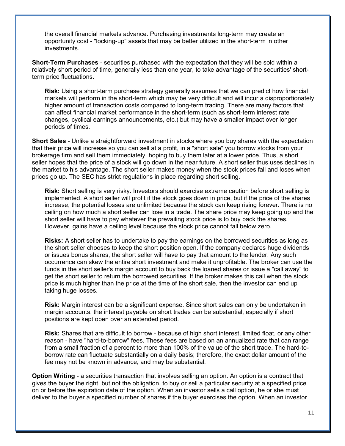the overall financial markets advance. Purchasing investments long-term may create an opportunity cost - "locking-up" assets that may be better utilized in the short-term in other investments.

**Short-Term Purchases** - securities purchased with the expectation that they will be sold within a relatively short period of time, generally less than one year, to take advantage of the securities' shortterm price fluctuations.

**Risk:** Using a short-term purchase strategy generally assumes that we can predict how financial markets will perform in the short-term which may be very difficult and will incur a disproportionately higher amount of transaction costs compared to long-term trading. There are many factors that can affect financial market performance in the short-term (such as short-term interest rate changes, cyclical earnings announcements, etc.) but may have a smaller impact over longer periods of times.

**Short Sales** - Unlike a straightforward investment in stocks where you buy shares with the expectation that their price will increase so you can sell at a profit, in a "short sale" you borrow stocks from your brokerage firm and sell them immediately, hoping to buy them later at a lower price. Thus, a short seller hopes that the price of a stock will go down in the near future. A short seller thus uses declines in the market to his advantage. The short seller makes money when the stock prices fall and loses when prices go up. The SEC has strict regulations in place regarding short selling.

**Risk:** Short selling is very risky. Investors should exercise extreme caution before short selling is implemented. A short seller will profit if the stock goes down in price, but if the price of the shares increase, the potential losses are unlimited because the stock can keep rising forever. There is no ceiling on how much a short seller can lose in a trade. The share price may keep going up and the short seller will have to pay whatever the prevailing stock price is to buy back the shares. However, gains have a ceiling level because the stock price cannot fall below zero.

**Risks:** A short seller has to undertake to pay the earnings on the borrowed securities as long as the short seller chooses to keep the short position open. If the company declares huge dividends or issues bonus shares, the short seller will have to pay that amount to the lender. Any such occurrence can skew the entire short investment and make it unprofitable. The broker can use the funds in the short seller's margin account to buy back the loaned shares or issue a "call away" to get the short seller to return the borrowed securities. If the broker makes this call when the stock price is much higher than the price at the time of the short sale, then the investor can end up taking huge losses.

**Risk:** Margin interest can be a significant expense. Since short sales can only be undertaken in margin accounts, the interest payable on short trades can be substantial, especially if short positions are kept open over an extended period.

**Risk:** Shares that are difficult to borrow - because of high short interest, limited float, or any other reason - have "hard-to-borrow" fees. These fees are based on an annualized rate that can range from a small fraction of a percent to more than 100% of the value of the short trade. The hard-toborrow rate can fluctuate substantially on a daily basis; therefore, the exact dollar amount of the fee may not be known in advance, and may be substantial.

**Option Writing** - a securities transaction that involves selling an option. An option is a contract that gives the buyer the right, but not the obligation, to buy or sell a particular security at a specified price on or before the expiration date of the option. When an investor sells a call option, he or she must deliver to the buyer a specified number of shares if the buyer exercises the option. When an investor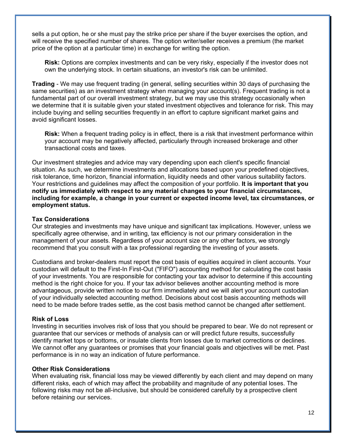sells a put option, he or she must pay the strike price per share if the buyer exercises the option, and will receive the specified number of shares. The option writer/seller receives a premium (the market price of the option at a particular time) in exchange for writing the option.

**Risk:** Options are complex investments and can be very risky, especially if the investor does not own the underlying stock. In certain situations, an investor's risk can be unlimited.

**Trading** - We may use frequent trading (in general, selling securities within 30 days of purchasing the same securities) as an investment strategy when managing your account(s). Frequent trading is not a fundamental part of our overall investment strategy, but we may use this strategy occasionally when we determine that it is suitable given your stated investment objectives and tolerance for risk. This may include buying and selling securities frequently in an effort to capture significant market gains and avoid significant losses.

**Risk:** When a frequent trading policy is in effect, there is a risk that investment performance within your account may be negatively affected, particularly through increased brokerage and other transactional costs and taxes.

Our investment strategies and advice may vary depending upon each client's specific financial situation. As such, we determine investments and allocations based upon your predefined objectives, risk tolerance, time horizon, financial information, liquidity needs and other various suitability factors. Your restrictions and guidelines may affect the composition of your portfolio. **It is important that you notify us immediately with respect to any material changes to your financial circumstances, including for example, a change in your current or expected income level, tax circumstances, or employment status.**

#### **Tax Considerations**

Our strategies and investments may have unique and significant tax implications. However, unless we specifically agree otherwise, and in writing, tax efficiency is not our primary consideration in the management of your assets. Regardless of your account size or any other factors, we strongly recommend that you consult with a tax professional regarding the investing of your assets.

Custodians and broker-dealers must report the cost basis of equities acquired in client accounts. Your custodian will default to the First-In First-Out ("FIFO") accounting method for calculating the cost basis of your investments. You are responsible for contacting your tax advisor to determine if this accounting method is the right choice for you. If your tax advisor believes another accounting method is more advantageous, provide written notice to our firm immediately and we will alert your account custodian of your individually selected accounting method. Decisions about cost basis accounting methods will need to be made before trades settle, as the cost basis method cannot be changed after settlement.

#### **Risk of Loss**

Investing in securities involves risk of loss that you should be prepared to bear. We do not represent or guarantee that our services or methods of analysis can or will predict future results, successfully identify market tops or bottoms, or insulate clients from losses due to market corrections or declines. We cannot offer any guarantees or promises that your financial goals and objectives will be met. Past performance is in no way an indication of future performance.

#### **Other Risk Considerations**

When evaluating risk, financial loss may be viewed differently by each client and may depend on many different risks, each of which may affect the probability and magnitude of any potential loses. The following risks may not be all-inclusive, but should be considered carefully by a prospective client before retaining our services.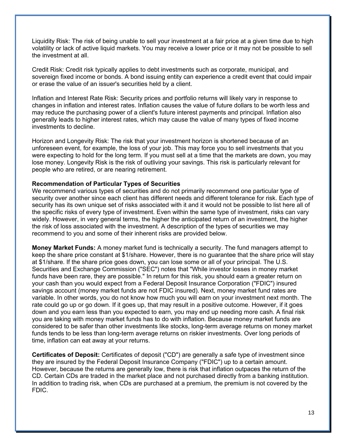Liquidity Risk: The risk of being unable to sell your investment at a fair price at a given time due to high volatility or lack of active liquid markets. You may receive a lower price or it may not be possible to sell the investment at all.

Credit Risk: Credit risk typically applies to debt investments such as corporate, municipal, and sovereign fixed income or bonds. A bond issuing entity can experience a credit event that could impair or erase the value of an issuer's securities held by a client.

Inflation and Interest Rate Risk: Security prices and portfolio returns will likely vary in response to changes in inflation and interest rates. Inflation causes the value of future dollars to be worth less and may reduce the purchasing power of a client's future interest payments and principal. Inflation also generally leads to higher interest rates, which may cause the value of many types of fixed income investments to decline.

Horizon and Longevity Risk: The risk that your investment horizon is shortened because of an unforeseen event, for example, the loss of your job. This may force you to sell investments that you were expecting to hold for the long term. If you must sell at a time that the markets are down, you may lose money. Longevity Risk is the risk of outliving your savings. This risk is particularly relevant for people who are retired, or are nearing retirement.

### **Recommendation of Particular Types of Securities**

We recommend various types of securities and do not primarily recommend one particular type of security over another since each client has different needs and different tolerance for risk. Each type of security has its own unique set of risks associated with it and it would not be possible to list here all of the specific risks of every type of investment. Even within the same type of investment, risks can vary widely. However, in very general terms, the higher the anticipated return of an investment, the higher the risk of loss associated with the investment. A description of the types of securities we may recommend to you and some of their inherent risks are provided below.

**Money Market Funds:** A money market fund is technically a security. The fund managers attempt to keep the share price constant at \$1/share. However, there is no guarantee that the share price will stay at \$1/share. If the share price goes down, you can lose some or all of your principal. The U.S. Securities and Exchange Commission ("SEC") notes that "While investor losses in money market funds have been rare, they are possible." In return for this risk, you should earn a greater return on your cash than you would expect from a Federal Deposit Insurance Corporation ("FDIC") insured savings account (money market funds are not FDIC insured). Next, money market fund rates are variable. In other words, you do not know how much you will earn on your investment next month. The rate could go up or go down. If it goes up, that may result in a positive outcome. However, if it goes down and you earn less than you expected to earn, you may end up needing more cash. A final risk you are taking with money market funds has to do with inflation. Because money market funds are considered to be safer than other investments like stocks, long-term average returns on money market funds tends to be less than long-term average returns on riskier investments. Over long periods of time, inflation can eat away at your returns.

**Certificates of Deposit:** Certificates of deposit ("CD") are generally a safe type of investment since they are insured by the Federal Deposit Insurance Company ("FDIC") up to a certain amount. However, because the returns are generally low, there is risk that inflation outpaces the return of the CD. Certain CDs are traded in the market place and not purchased directly from a banking institution. In addition to trading risk, when CDs are purchased at a premium, the premium is not covered by the FDIC.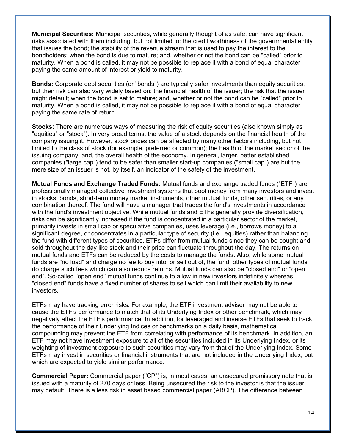**Municipal Securities:** Municipal securities, while generally thought of as safe, can have significant risks associated with them including, but not limited to: the credit worthiness of the governmental entity that issues the bond; the stability of the revenue stream that is used to pay the interest to the bondholders; when the bond is due to mature; and, whether or not the bond can be "called" prior to maturity. When a bond is called, it may not be possible to replace it with a bond of equal character paying the same amount of interest or yield to maturity.

**Bonds:** Corporate debt securities (or "bonds") are typically safer investments than equity securities, but their risk can also vary widely based on: the financial health of the issuer; the risk that the issuer might default; when the bond is set to mature; and, whether or not the bond can be "called" prior to maturity. When a bond is called, it may not be possible to replace it with a bond of equal character paying the same rate of return.

**Stocks:** There are numerous ways of measuring the risk of equity securities (also known simply as "equities" or "stock"). In very broad terms, the value of a stock depends on the financial health of the company issuing it. However, stock prices can be affected by many other factors including, but not limited to the class of stock (for example, preferred or common); the health of the market sector of the issuing company; and, the overall health of the economy. In general, larger, better established companies ("large cap") tend to be safer than smaller start-up companies ("small cap") are but the mere size of an issuer is not, by itself, an indicator of the safety of the investment.

**Mutual Funds and Exchange Traded Funds:** Mutual funds and exchange traded funds ("ETF") are professionally managed collective investment systems that pool money from many investors and invest in stocks, bonds, short-term money market instruments, other mutual funds, other securities, or any combination thereof. The fund will have a manager that trades the fund's investments in accordance with the fund's investment objective. While mutual funds and ETFs generally provide diversification, risks can be significantly increased if the fund is concentrated in a particular sector of the market, primarily invests in small cap or speculative companies, uses leverage (i.e., borrows money) to a significant degree, or concentrates in a particular type of security (i.e., equities) rather than balancing the fund with different types of securities. ETFs differ from mutual funds since they can be bought and sold throughout the day like stock and their price can fluctuate throughout the day. The returns on mutual funds and ETFs can be reduced by the costs to manage the funds. Also, while some mutual funds are "no load" and charge no fee to buy into, or sell out of, the fund, other types of mutual funds do charge such fees which can also reduce returns. Mutual funds can also be "closed end" or "open end". So-called "open end" mutual funds continue to allow in new investors indefinitely whereas "closed end" funds have a fixed number of shares to sell which can limit their availability to new investors.

ETFs may have tracking error risks. For example, the ETF investment adviser may not be able to cause the ETF's performance to match that of its Underlying Index or other benchmark, which may negatively affect the ETF's performance. In addition, for leveraged and inverse ETFs that seek to track the performance of their Underlying Indices or benchmarks on a daily basis, mathematical compounding may prevent the ETF from correlating with performance of its benchmark. In addition, an ETF may not have investment exposure to all of the securities included in its Underlying Index, or its weighting of investment exposure to such securities may vary from that of the Underlying Index. Some ETFs may invest in securities or financial instruments that are not included in the Underlying Index, but which are expected to yield similar performance.

**Commercial Paper:** Commercial paper ("CP") is, in most cases, an unsecured promissory note that is issued with a maturity of 270 days or less. Being unsecured the risk to the investor is that the issuer may default. There is a less risk in asset based commercial paper (ABCP). The difference between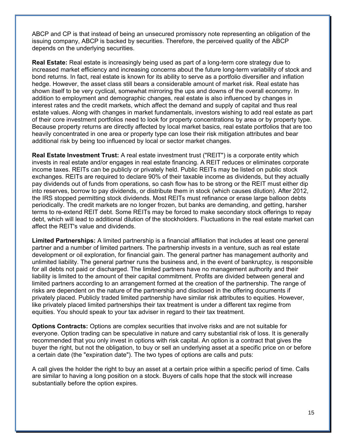ABCP and CP is that instead of being an unsecured promissory note representing an obligation of the issuing company, ABCP is backed by securities. Therefore, the perceived quality of the ABCP depends on the underlying securities.

**Real Estate:** Real estate is increasingly being used as part of a long-term core strategy due to increased market efficiency and increasing concerns about the future long-term variability of stock and bond returns. In fact, real estate is known for its ability to serve as a portfolio diversifier and inflation hedge. However, the asset class still bears a considerable amount of market risk. Real estate has shown itself to be very cyclical, somewhat mirroring the ups and downs of the overall economy. In addition to employment and demographic changes, real estate is also influenced by changes in interest rates and the credit markets, which affect the demand and supply of capital and thus real estate values. Along with changes in market fundamentals, investors wishing to add real estate as part of their core investment portfolios need to look for property concentrations by area or by property type. Because property returns are directly affected by local market basics, real estate portfolios that are too heavily concentrated in one area or property type can lose their risk mitigation attributes and bear additional risk by being too influenced by local or sector market changes.

**Real Estate Investment Trust:** A real estate investment trust ("REIT") is a corporate entity which invests in real estate and/or engages in real estate financing. A REIT reduces or eliminates corporate income taxes. REITs can be publicly or privately held. Public REITs may be listed on public stock exchanges. REITs are required to declare 90% of their taxable income as dividends, but they actually pay dividends out of funds from operations, so cash flow has to be strong or the REIT must either dip into reserves, borrow to pay dividends, or distribute them in stock (which causes dilution). After 2012, the IRS stopped permitting stock dividends. Most REITs must refinance or erase large balloon debts periodically. The credit markets are no longer frozen, but banks are demanding, and getting, harsher terms to re-extend REIT debt. Some REITs may be forced to make secondary stock offerings to repay debt, which will lead to additional dilution of the stockholders. Fluctuations in the real estate market can affect the REIT's value and dividends.

**Limited Partnerships:** A limited partnership is a financial affiliation that includes at least one general partner and a number of limited partners. The partnership invests in a venture, such as real estate development or oil exploration, for financial gain. The general partner has management authority and unlimited liability. The general partner runs the business and, in the event of bankruptcy, is responsible for all debts not paid or discharged. The limited partners have no management authority and their liability is limited to the amount of their capital commitment. Profits are divided between general and limited partners according to an arrangement formed at the creation of the partnership. The range of risks are dependent on the nature of the partnership and disclosed in the offering documents if privately placed. Publicly traded limited partnership have similar risk attributes to equities. However, like privately placed limited partnerships their tax treatment is under a different tax regime from equities. You should speak to your tax adviser in regard to their tax treatment.

**Options Contracts:** Options are complex securities that involve risks and are not suitable for everyone. Option trading can be speculative in nature and carry substantial risk of loss. It is generally recommended that you only invest in options with risk capital. An option is a contract that gives the buyer the right, but not the obligation, to buy or sell an underlying asset at a specific price on or before a certain date (the "expiration date"). The two types of options are calls and puts:

A call gives the holder the right to buy an asset at a certain price within a specific period of time. Calls are similar to having a long position on a stock. Buyers of calls hope that the stock will increase substantially before the option expires.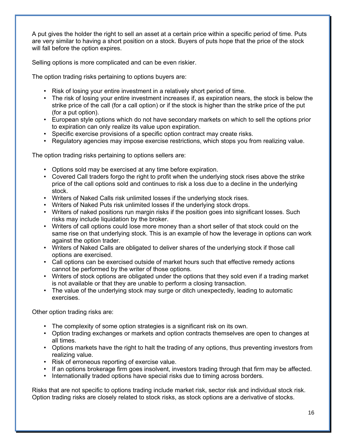A put gives the holder the right to sell an asset at a certain price within a specific period of time. Puts are very similar to having a short position on a stock. Buyers of puts hope that the price of the stock will fall before the option expires.

Selling options is more complicated and can be even riskier.

The option trading risks pertaining to options buyers are:

- Risk of losing your entire investment in a relatively short period of time.
- The risk of losing your entire investment increases if, as expiration nears, the stock is below the strike price of the call (for a call option) or if the stock is higher than the strike price of the put (for a put option).
- European style options which do not have secondary markets on which to sell the options prior to expiration can only realize its value upon expiration.
- Specific exercise provisions of a specific option contract may create risks.
- Regulatory agencies may impose exercise restrictions, which stops you from realizing value.

The option trading risks pertaining to options sellers are:

- Options sold may be exercised at any time before expiration.
- Covered Call traders forgo the right to profit when the underlying stock rises above the strike price of the call options sold and continues to risk a loss due to a decline in the underlying stock.
- Writers of Naked Calls risk unlimited losses if the underlying stock rises.
- Writers of Naked Puts risk unlimited losses if the underlying stock drops.
- Writers of naked positions run margin risks if the position goes into significant losses. Such risks may include liquidation by the broker.
- Writers of call options could lose more money than a short seller of that stock could on the same rise on that underlying stock. This is an example of how the leverage in options can work against the option trader.
- Writers of Naked Calls are obligated to deliver shares of the underlying stock if those call options are exercised.
- Call options can be exercised outside of market hours such that effective remedy actions cannot be performed by the writer of those options.
- Writers of stock options are obligated under the options that they sold even if a trading market is not available or that they are unable to perform a closing transaction.
- The value of the underlying stock may surge or ditch unexpectedly, leading to automatic exercises.

Other option trading risks are:

- The complexity of some option strategies is a significant risk on its own.
- Option trading exchanges or markets and option contracts themselves are open to changes at all times.
- Options markets have the right to halt the trading of any options, thus preventing investors from realizing value.
- Risk of erroneous reporting of exercise value.
- If an options brokerage firm goes insolvent, investors trading through that firm may be affected.
- Internationally traded options have special risks due to timing across borders.

Risks that are not specific to options trading include market risk, sector risk and individual stock risk. Option trading risks are closely related to stock risks, as stock options are a derivative of stocks.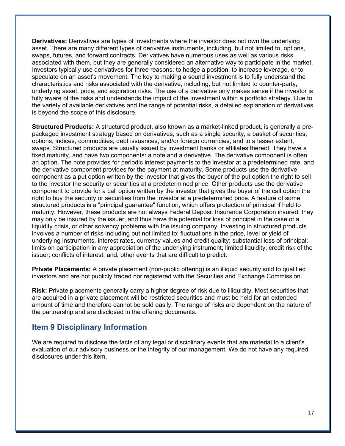**Derivatives:** Derivatives are types of investments where the investor does not own the underlying asset. There are many different types of derivative instruments, including, but not limited to, options, swaps, futures, and forward contracts. Derivatives have numerous uses as well as various risks associated with them, but they are generally considered an alternative way to participate in the market. Investors typically use derivatives for three reasons: to hedge a position, to increase leverage, or to speculate on an asset's movement. The key to making a sound investment is to fully understand the characteristics and risks associated with the derivative, including, but not limited to counter-party, underlying asset, price, and expiration risks. The use of a derivative only makes sense if the investor is fully aware of the risks and understands the impact of the investment within a portfolio strategy. Due to the variety of available derivatives and the range of potential risks, a detailed explanation of derivatives is beyond the scope of this disclosure.

**Structured Products:** A structured product, also known as a market-linked product, is generally a prepackaged investment strategy based on derivatives, such as a single security, a basket of securities, options, indices, commodities, debt issuances, and/or foreign currencies, and to a lesser extent, swaps. Structured products are usually issued by investment banks or affiliates thereof. They have a fixed maturity, and have two components: a note and a derivative. The derivative component is often an option. The note provides for periodic interest payments to the investor at a predetermined rate, and the derivative component provides for the payment at maturity. Some products use the derivative component as a put option written by the investor that gives the buyer of the put option the right to sell to the investor the security or securities at a predetermined price. Other products use the derivative component to provide for a call option written by the investor that gives the buyer of the call option the right to buy the security or securities from the investor at a predetermined price. A feature of some structured products is a "principal guarantee" function, which offers protection of principal if held to maturity. However, these products are not always Federal Deposit Insurance Corporation insured; they may only be insured by the issuer, and thus have the potential for loss of principal in the case of a liquidity crisis, or other solvency problems with the issuing company. Investing in structured products involves a number of risks including but not limited to: fluctuations in the price, level or yield of underlying instruments, interest rates, currency values and credit quality; substantial loss of principal; limits on participation in any appreciation of the underlying instrument; limited liquidity; credit risk of the issuer; conflicts of interest; and, other events that are difficult to predict.

**Private Placements:** A private placement (non-public offering) is an illiquid security sold to qualified investors and are not publicly traded nor registered with the Securities and Exchange Commission.

**Risk:** Private placements generally carry a higher degree of risk due to illiquidity. Most securities that are acquired in a private placement will be restricted securities and must be held for an extended amount of time and therefore cannot be sold easily. The range of risks are dependent on the nature of the partnership and are disclosed in the offering documents.

# **Item 9 Disciplinary Information**

We are required to disclose the facts of any legal or disciplinary events that are material to a client's evaluation of our advisory business or the integrity of our management. We do not have any required disclosures under this item.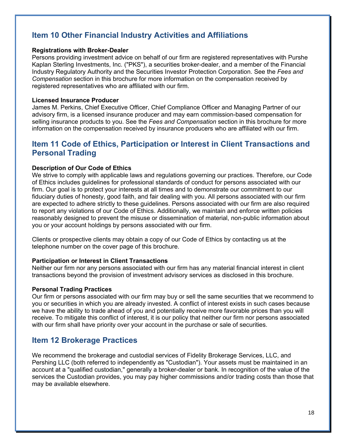# **Item 10 Other Financial Industry Activities and Affiliations**

### **Registrations with Broker-Dealer**

Persons providing investment advice on behalf of our firm are registered representatives with Purshe Kaplan Sterling Investments, Inc. ("PKS"), a securities broker-dealer, and a member of the Financial Industry Regulatory Authority and the Securities Investor Protection Corporation. See the *Fees and Compensation* section in this brochure for more information on the compensation received by registered representatives who are affiliated with our firm.

### **Licensed Insurance Producer**

James M. Perkins, Chief Executive Officer, Chief Compliance Officer and Managing Partner of our advisory firm, is a licensed insurance producer and may earn commission-based compensation for selling insurance products to you. See the *Fees and Compensation* section in this brochure for more information on the compensation received by insurance producers who are affiliated with our firm.

# **Item 11 Code of Ethics, Participation or Interest in Client Transactions and Personal Trading**

### **Description of Our Code of Ethics**

We strive to comply with applicable laws and regulations governing our practices. Therefore, our Code of Ethics includes guidelines for professional standards of conduct for persons associated with our firm. Our goal is to protect your interests at all times and to demonstrate our commitment to our fiduciary duties of honesty, good faith, and fair dealing with you. All persons associated with our firm are expected to adhere strictly to these guidelines. Persons associated with our firm are also required to report any violations of our Code of Ethics. Additionally, we maintain and enforce written policies reasonably designed to prevent the misuse or dissemination of material, non-public information about you or your account holdings by persons associated with our firm.

Clients or prospective clients may obtain a copy of our Code of Ethics by contacting us at the telephone number on the cover page of this brochure.

#### **Participation or Interest in Client Transactions**

Neither our firm nor any persons associated with our firm has any material financial interest in client transactions beyond the provision of investment advisory services as disclosed in this brochure.

#### **Personal Trading Practices**

Our firm or persons associated with our firm may buy or sell the same securities that we recommend to you or securities in which you are already invested. A conflict of interest exists in such cases because we have the ability to trade ahead of you and potentially receive more favorable prices than you will receive. To mitigate this conflict of interest, it is our policy that neither our firm nor persons associated with our firm shall have priority over your account in the purchase or sale of securities.

# **Item 12 Brokerage Practices**

We recommend the brokerage and custodial services of Fidelity Brokerage Services, LLC, and Pershing LLC (both referred to independently as "Custodian"). Your assets must be maintained in an account at a "qualified custodian," generally a broker-dealer or bank. In recognition of the value of the services the Custodian provides, you may pay higher commissions and/or trading costs than those that may be available elsewhere.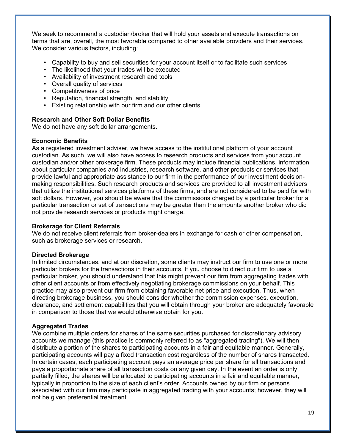We seek to recommend a custodian/broker that will hold your assets and execute transactions on terms that are, overall, the most favorable compared to other available providers and their services. We consider various factors, including:

- Capability to buy and sell securities for your account itself or to facilitate such services
- The likelihood that your trades will be executed
- Availability of investment research and tools
- Overall quality of services
- Competitiveness of price
- Reputation, financial strength, and stability
- Existing relationship with our firm and our other clients

#### **Research and Other Soft Dollar Benefits**

We do not have any soft dollar arrangements.

#### **Economic Benefits**

As a registered investment adviser, we have access to the institutional platform of your account custodian. As such, we will also have access to research products and services from your account custodian and/or other brokerage firm. These products may include financial publications, information about particular companies and industries, research software, and other products or services that provide lawful and appropriate assistance to our firm in the performance of our investment decisionmaking responsibilities. Such research products and services are provided to all investment advisers that utilize the institutional services platforms of these firms, and are not considered to be paid for with soft dollars. However, you should be aware that the commissions charged by a particular broker for a particular transaction or set of transactions may be greater than the amounts another broker who did not provide research services or products might charge.

#### **Brokerage for Client Referrals**

We do not receive client referrals from broker-dealers in exchange for cash or other compensation, such as brokerage services or research.

#### **Directed Brokerage**

In limited circumstances, and at our discretion, some clients may instruct our firm to use one or more particular brokers for the transactions in their accounts. If you choose to direct our firm to use a particular broker, you should understand that this might prevent our firm from aggregating trades with other client accounts or from effectively negotiating brokerage commissions on your behalf. This practice may also prevent our firm from obtaining favorable net price and execution. Thus, when directing brokerage business, you should consider whether the commission expenses, execution, clearance, and settlement capabilities that you will obtain through your broker are adequately favorable in comparison to those that we would otherwise obtain for you.

### **Aggregated Trades**

We combine multiple orders for shares of the same securities purchased for discretionary advisory accounts we manage (this practice is commonly referred to as "aggregated trading"). We will then distribute a portion of the shares to participating accounts in a fair and equitable manner. Generally, participating accounts will pay a fixed transaction cost regardless of the number of shares transacted. In certain cases, each participating account pays an average price per share for all transactions and pays a proportionate share of all transaction costs on any given day. In the event an order is only partially filled, the shares will be allocated to participating accounts in a fair and equitable manner, typically in proportion to the size of each client's order. Accounts owned by our firm or persons associated with our firm may participate in aggregated trading with your accounts; however, they will not be given preferential treatment.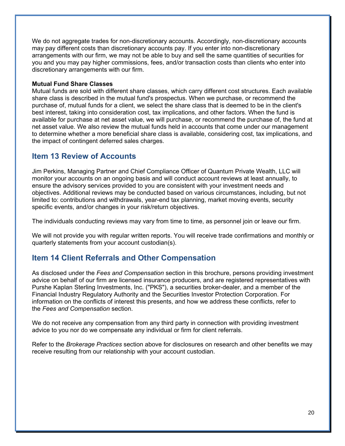We do not aggregate trades for non-discretionary accounts. Accordingly, non-discretionary accounts may pay different costs than discretionary accounts pay. If you enter into non-discretionary arrangements with our firm, we may not be able to buy and sell the same quantities of securities for you and you may pay higher commissions, fees, and/or transaction costs than clients who enter into discretionary arrangements with our firm.

### **Mutual Fund Share Classes**

Mutual funds are sold with different share classes, which carry different cost structures. Each available share class is described in the mutual fund's prospectus. When we purchase, or recommend the purchase of, mutual funds for a client, we select the share class that is deemed to be in the client's best interest, taking into consideration cost, tax implications, and other factors. When the fund is available for purchase at net asset value, we will purchase, or recommend the purchase of, the fund at net asset value. We also review the mutual funds held in accounts that come under our management to determine whether a more beneficial share class is available, considering cost, tax implications, and the impact of contingent deferred sales charges.

# **Item 13 Review of Accounts**

Jim Perkins, Managing Partner and Chief Compliance Officer of Quantum Private Wealth, LLC will monitor your accounts on an ongoing basis and will conduct account reviews at least annually, to ensure the advisory services provided to you are consistent with your investment needs and objectives. Additional reviews may be conducted based on various circumstances, including, but not limited to: contributions and withdrawals, year-end tax planning, market moving events, security specific events, and/or changes in your risk/return objectives.

The individuals conducting reviews may vary from time to time, as personnel join or leave our firm.

We will not provide you with regular written reports. You will receive trade confirmations and monthly or quarterly statements from your account custodian(s).

# **Item 14 Client Referrals and Other Compensation**

As disclosed under the *Fees and Compensation* section in this brochure, persons providing investment advice on behalf of our firm are licensed insurance producers, and are registered representatives with Purshe Kaplan Sterling Investments, Inc. ("PKS"), a securities broker-dealer, and a member of the Financial Industry Regulatory Authority and the Securities Investor Protection Corporation. For information on the conflicts of interest this presents, and how we address these conflicts, refer to the *Fees and Compensation* section.

We do not receive any compensation from any third party in connection with providing investment advice to you nor do we compensate any individual or firm for client referrals.

Refer to the *Brokerage Practices* section above for disclosures on research and other benefits we may receive resulting from our relationship with your account custodian.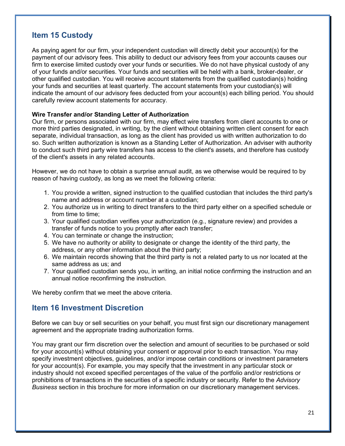# **Item 15 Custody**

As paying agent for our firm, your independent custodian will directly debit your account(s) for the payment of our advisory fees. This ability to deduct our advisory fees from your accounts causes our firm to exercise limited custody over your funds or securities. We do not have physical custody of any of your funds and/or securities. Your funds and securities will be held with a bank, broker-dealer, or other qualified custodian. You will receive account statements from the qualified custodian(s) holding your funds and securities at least quarterly. The account statements from your custodian(s) will indicate the amount of our advisory fees deducted from your account(s) each billing period. You should carefully review account statements for accuracy.

### **Wire Transfer and/or Standing Letter of Authorization**

Our firm, or persons associated with our firm, may effect wire transfers from client accounts to one or more third parties designated, in writing, by the client without obtaining written client consent for each separate, individual transaction, as long as the client has provided us with written authorization to do so. Such written authorization is known as a Standing Letter of Authorization. An adviser with authority to conduct such third party wire transfers has access to the client's assets, and therefore has custody of the client's assets in any related accounts.

However, we do not have to obtain a surprise annual audit, as we otherwise would be required to by reason of having custody, as long as we meet the following criteria:

- 1. You provide a written, signed instruction to the qualified custodian that includes the third party's name and address or account number at a custodian;
- 2. You authorize us in writing to direct transfers to the third party either on a specified schedule or from time to time;
- 3. Your qualified custodian verifies your authorization (e.g., signature review) and provides a transfer of funds notice to you promptly after each transfer;
- 4. You can terminate or change the instruction;
- 5. We have no authority or ability to designate or change the identity of the third party, the address, or any other information about the third party;
- 6. We maintain records showing that the third party is not a related party to us nor located at the same address as us; and
- 7. Your qualified custodian sends you, in writing, an initial notice confirming the instruction and an annual notice reconfirming the instruction.

We hereby confirm that we meet the above criteria.

# **Item 16 Investment Discretion**

Before we can buy or sell securities on your behalf, you must first sign our discretionary management agreement and the appropriate trading authorization forms.

You may grant our firm discretion over the selection and amount of securities to be purchased or sold for your account(s) without obtaining your consent or approval prior to each transaction. You may specify investment objectives, guidelines, and/or impose certain conditions or investment parameters for your account(s). For example, you may specify that the investment in any particular stock or industry should not exceed specified percentages of the value of the portfolio and/or restrictions or prohibitions of transactions in the securities of a specific industry or security. Refer to the *Advisory Business* section in this brochure for more information on our discretionary management services.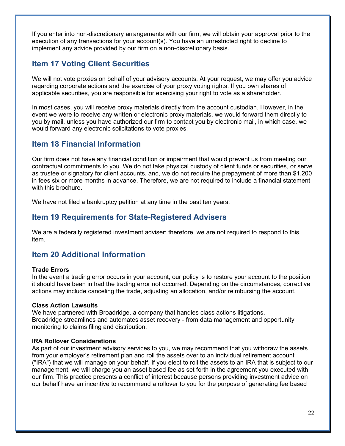If you enter into non-discretionary arrangements with our firm, we will obtain your approval prior to the execution of any transactions for your account(s). You have an unrestricted right to decline to implement any advice provided by our firm on a non-discretionary basis.

# **Item 17 Voting Client Securities**

We will not vote proxies on behalf of your advisory accounts. At your request, we may offer you advice regarding corporate actions and the exercise of your proxy voting rights. If you own shares of applicable securities, you are responsible for exercising your right to vote as a shareholder.

In most cases, you will receive proxy materials directly from the account custodian. However, in the event we were to receive any written or electronic proxy materials, we would forward them directly to you by mail, unless you have authorized our firm to contact you by electronic mail, in which case, we would forward any electronic solicitations to vote proxies.

# **Item 18 Financial Information**

Our firm does not have any financial condition or impairment that would prevent us from meeting our contractual commitments to you. We do not take physical custody of client funds or securities, or serve as trustee or signatory for client accounts, and, we do not require the prepayment of more than \$1,200 in fees six or more months in advance. Therefore, we are not required to include a financial statement with this brochure.

We have not filed a bankruptcy petition at any time in the past ten years.

# **Item 19 Requirements for State-Registered Advisers**

We are a federally registered investment adviser; therefore, we are not required to respond to this item.

# **Item 20 Additional Information**

#### **Trade Errors**

In the event a trading error occurs in your account, our policy is to restore your account to the position it should have been in had the trading error not occurred. Depending on the circumstances, corrective actions may include canceling the trade, adjusting an allocation, and/or reimbursing the account.

# **Class Action Lawsuits**

We have partnered with Broadridge, a company that handles class actions litigations. Broadridge streamlines and automates asset recovery - from data management and opportunity monitoring to claims filing and distribution.

#### **IRA Rollover Considerations**

As part of our investment advisory services to you, we may recommend that you withdraw the assets from your employer's retirement plan and roll the assets over to an individual retirement account ("IRA") that we will manage on your behalf. If you elect to roll the assets to an IRA that is subject to our management, we will charge you an asset based fee as set forth in the agreement you executed with our firm. This practice presents a conflict of interest because persons providing investment advice on our behalf have an incentive to recommend a rollover to you for the purpose of generating fee based